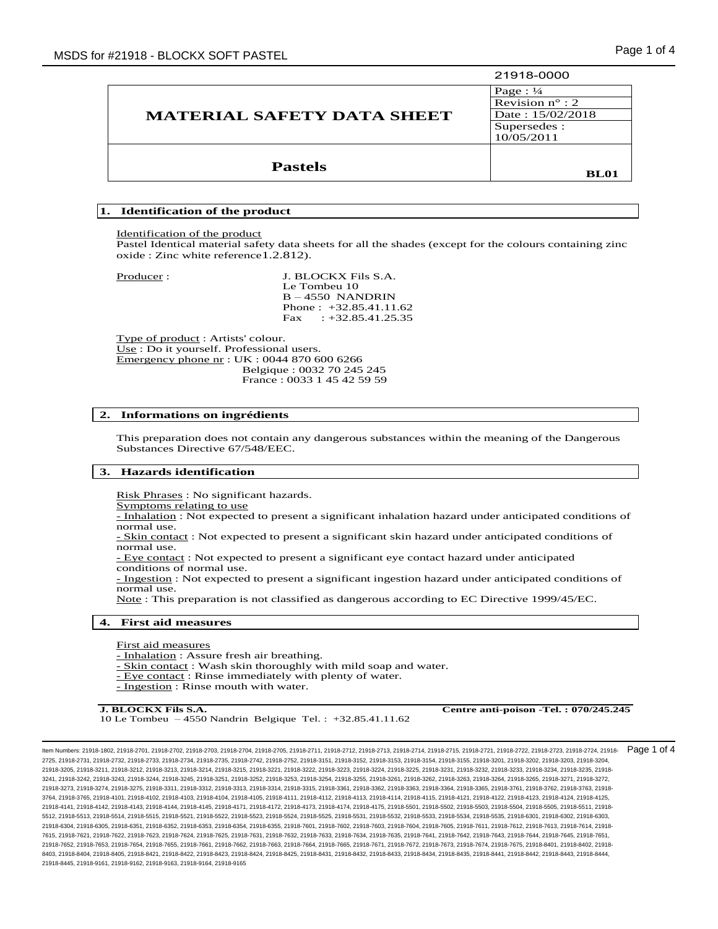|                                   | 21918-0000               |
|-----------------------------------|--------------------------|
|                                   | Page: $\frac{1}{4}$      |
| <b>MATERIAL SAFETY DATA SHEET</b> | Revision $n^{\circ}$ : 2 |
|                                   | Date: 15/02/2018         |
|                                   | Supersedes:              |
|                                   | 10/05/2011               |
|                                   |                          |
| <b>Pastels</b>                    |                          |
|                                   | <b>BL01</b>              |

# **1. Identification of the product**

Identification of the product

Pastel Identical material safety data sheets for all the shades (except for the colours containing zinc oxide : Zinc white reference1.2.812).

Producer : J. BLOCKX Fils S.A. Le Tombeu 10 B – 4550 NANDRIN Phone : +32.85.41.11.62 Fax :  $+32.85.41.25.35$ 

Type of product : Artists' colour. Use : Do it yourself. Professional users. Emergency phone nr : UK : 0044 870 600 6266 Belgique : 0032 70 245 245 France : 0033 1 45 42 59 59

#### **2. Informations on ingrédients**

This preparation does not contain any dangerous substances within the meaning of the Dangerous Substances Directive 67/548/EEC.

#### **3. Hazards identification**

Risk Phrases : No significant hazards.

Symptoms relating to use

- Inhalation : Not expected to present a significant inhalation hazard under anticipated conditions of normal use.

- Skin contact : Not expected to present a significant skin hazard under anticipated conditions of normal use.

- Eye contact : Not expected to present a significant eye contact hazard under anticipated conditions of normal use.

- Ingestion : Not expected to present a significant ingestion hazard under anticipated conditions of normal use.

Note : This preparation is not classified as dangerous according to EC Directive 1999/45/EC.

#### **4. First aid measures**

First aid measures

- Inhalation : Assure fresh air breathing.

- Skin contact : Wash skin thoroughly with mild soap and water.

- Eye contact : Rinse immediately with plenty of water.
- Ingestion : Rinse mouth with water.

10 Le Tombeu – 4550 Nandrin Belgique Tel. : +32.85.41.11.62

**J. BLOCKX Fils S.A. Centre anti-poison -Tel. : 070/245.245** 

Item Numbers: 21918-1802, 21918-2701, 21918-2702, 21918-2703, 21918-2704, 21918-2705, 21918-2711, 21918-2712, 21918-2713, 21918-2714, 21918-2715, 21918-2721, 21918-2722, 21918-2723, 21918-2724, 21918- 2725, 21918-2731, 21918-2732, 21918-2733, 21918-2734, 21918-2735, 21918-2742, 21918-2752, 21918-3151, 21918-3152, 21918-3153, 21918-3154, 21918-3155, 21918-3201, 21918-3202, 21918-3203, 21918-3204, 21918-3205, 21918-3211, 21918-3212, 21918-3213, 21918-3214, 21918-3215, 21918-3221, 21918-3222, 21918-3223, 21918-3224, 21918-3225, 21918-3231, 21918-3232, 21918-3233, 21918-3234, 21918-3235, 21918- 3241, 21918-3242, 21918-3243, 21918-3244, 21918-3245, 21918-3251, 21918-3252, 21918-3253, 21918-3254, 21918-3255, 21918-3261, 21918-3262, 21918-3263, 21918-3264, 21918-3265, 21918-3271, 21918-3272, 21918-3273, 21918-3274, 21918-3275, 21918-3311, 21918-3312, 21918-3313, 21918-3314, 21918-3315, 21918-3361, 21918-3362, 21918-3363, 21918-3364, 21918-3365, 21918-3761, 21918-3762, 21918-3763, 21918- 3764, 21918-3765, 21918-4101, 21918-4102, 21918-4103, 21918-4104, 21918-4105, 21918-4111, 21918-4112, 21918-4113, 21918-4114, 21918-4115, 21918-4121, 21918-4122, 21918-4123, 21918-4124, 21918-4125, 21918-4141, 21918-4142, 21918-4143, 21918-4144, 21918-4145, 21918-4171, 21918-4172, 21918-4173, 21918-4174, 21918-4175, 21918-5501, 21918-5502, 21918-5503, 21918-5504, 21918-5505, 21918-5511, 21918- 5512, 21918-5513, 21918-5514, 21918-5515, 21918-5521, 21918-5522, 21918-5523, 21918-5524, 21918-5525, 21918-5531, 21918-5532, 21918-5533, 21918-5534, 21918-5535, 21918-6301, 21918-6302, 21918-6303, 21918-6304, 21918-6305, 21918-6351, 21918-6352, 21918-6353, 21918-6354, 21918-6355, 21918-7601, 21918-7602, 21918-7603, 21918-7604, 21918-7605, 21918-7611, 21918-7612, 21918-7613, 21918-7614, 21918- 7615, 21918-7621, 21918-7622, 21918-7623, 21918-7624, 21918-7625, 21918-7631, 21918-7632, 21918-7633, 21918-7634, 21918-7635, 21918-7641, 21918-7642, 21918-7643, 21918-7644, 21918-7645, 21918-7651, 21918-7652, 21918-7653, 21918-7654, 21918-7655, 21918-7661, 21918-7662, 21918-7663, 21918-7664, 21918-7665, 21918-7671, 21918-7672, 21918-7673, 21918-7674, 21918-7675, 21918-8401, 21918-8402, 21918- 8403, 21918-8404, 21918-8405, 21918-8421, 21918-8423, 21918-8424, 21918-8425, 21918-8431, 21918-8432, 21918-8434, 21918-8435, 21918-8441, 21918-8442, 21918-8443, 21918-8442, 21918-8442, 21918-8442, 21918-8442, 21918-8443, 2 21918-8445, 21918-9161, 21918-9162, 21918-9163, 21918-9164, 21918-9165 Page 1 of 4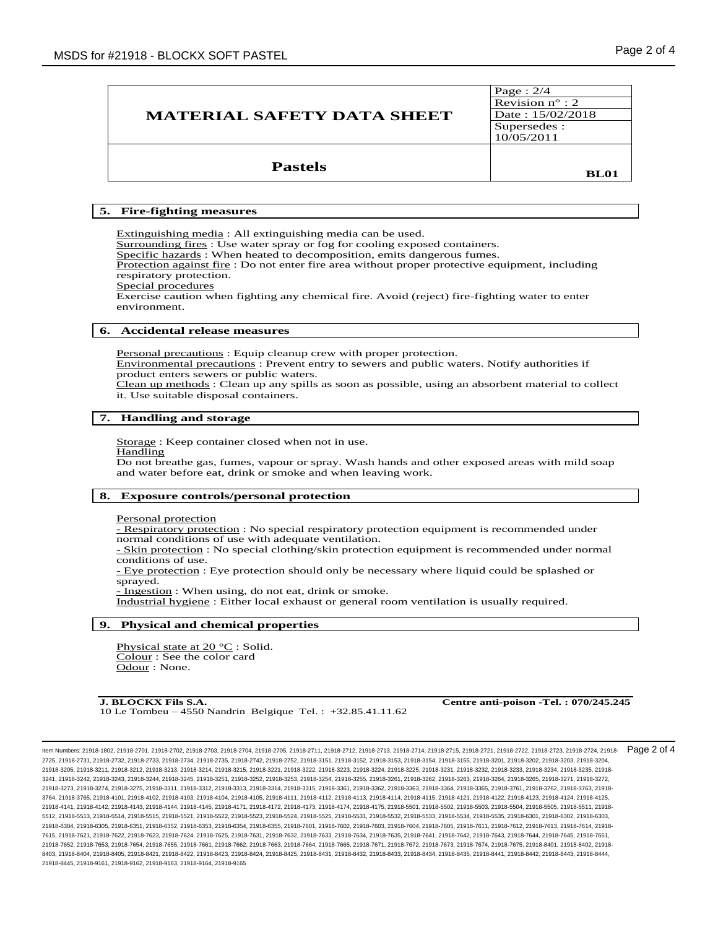| <b>MATERIAL SAFETY DATA SHEET</b> | Page : $2/4$<br>Revision $n^{\circ}$ : 2<br>Date: 15/02/2018<br>Supersedes :<br>10/05/2011 |
|-----------------------------------|--------------------------------------------------------------------------------------------|
| <b>Pastels</b>                    | <b>BL01</b>                                                                                |

# **5. Fire-fighting measures**

Extinguishing media : All extinguishing media can be used. Surrounding fires : Use water spray or fog for cooling exposed containers. Specific hazards : When heated to decomposition, emits dangerous fumes. Protection against fire : Do not enter fire area without proper protective equipment, including respiratory protection. Special procedures Exercise caution when fighting any chemical fire. Avoid (reject) fire-fighting water to enter

## **6. Accidental release measures**

Personal precautions : Equip cleanup crew with proper protection. Environmental precautions : Prevent entry to sewers and public waters. Notify authorities if product enters sewers or public waters. Clean up methods : Clean up any spills as soon as possible, using an absorbent material to collect

it. Use suitable disposal containers.

# **7. Handling and storage** ֺ֖֚֝֬

Storage : Keep container closed when not in use.

#### Handling

environment.

Do not breathe gas, fumes, vapour or spray. Wash hands and other exposed areas with mild soap and water before eat, drink or smoke and when leaving work.

# **8. Exposure controls/personal protection**

Personal protection

- Respiratory protection : No special respiratory protection equipment is recommended under normal conditions of use with adequate ventilation.

- Skin protection : No special clothing/skin protection equipment is recommended under normal conditions of use.

- Eye protection : Eye protection should only be necessary where liquid could be splashed or sprayed.

- Ingestion : When using, do not eat, drink or smoke.

Industrial hygiene : Either local exhaust or general room ventilation is usually required.

## **9. Physical and chemical properties**

Physical state at 20 °C : Solid. Colour : See the color card Odour : None.

**J. BLOCKX Fils S.A. Centre anti-poison -Tel. : 070/245.245** 10 Le Tombeu – 4550 Nandrin Belgique Tel. : +32.85.41.11.62

Page 2 of 4

Item Numbers: 21918-1802, 21918-2701, 21918-2702, 21918-2703, 21918-2704, 21918-2705, 21918-2711, 21918-2712, 21918-2713, 21918-2714, 21918-2715, 21918-2721, 21918-2722, 21918-2723, 21918-2724, 21918- 2725, 21918-2731, 21918-2732, 21918-2733, 21918-2734, 21918-2735, 21918-2742, 21918-2752, 21918-3151, 21918-3152, 21918-3153, 21918-3154, 21918-3155, 21918-3201, 21918-3202, 21918-3203, 21918-3204, 21918-3205, 21918-3211, 21918-3212, 21918-3213, 21918-3214, 21918-3215, 21918-3221, 21918-3222, 21918-3223, 21918-3224, 21918-3225, 21918-3231, 21918-3232, 21918-3233, 21918-3234, 21918-3235, 21918- 3241, 21918-3242, 21918-3243, 21918-3244, 21918-3245, 21918-3251, 21918-3252, 21918-3253, 21918-3254, 21918-3255, 21918-3261, 21918-3262, 21918-3263, 21918-3264, 21918-3265, 21918-3271, 21918-3272, 21918-3273, 21918-3274, 21918-3275, 21918-3311, 21918-3312, 21918-3313, 21918-3314, 21918-3315, 21918-3361, 21918-3362, 21918-3363, 21918-3364, 21918-3365, 21918-3761, 21918-3762, 21918-3763, 21918- 3764, 21918-3765, 21918-4101, 21918-4102, 21918-4103, 21918-4104, 21918-4105, 21918-4111, 21918-4112, 21918-4113, 21918-4114, 21918-4115, 21918-4121, 21918-4122, 21918-4123, 21918-4124, 21918-4125, 21918-4141, 21918-4142, 21918-4143, 21918-4144, 21918-4145, 21918-4171, 21918-4172, 21918-4173, 21918-4174, 21918-4175, 21918-5501, 21918-5502, 21918-5503, 21918-5504, 21918-5505, 21918-5511, 21918- 5512, 21918-5513, 21918-5514, 21918-5515, 21918-5521, 21918-5522, 21918-5523, 21918-5524, 21918-5525, 21918-5531, 21918-5532, 21918-5533, 21918-5534, 21918-5535, 21918-6301, 21918-6302, 21918-6303, 21918-6304, 21918-6305, 21918-6351, 21918-6352, 21918-6353, 21918-6354, 21918-6355, 21918-7601, 21918-7602, 21918-7603, 21918-7604, 21918-7605, 21918-7611, 21918-7612, 21918-7613, 21918-7614, 21918- 7615, 21918-7621, 21918-7622, 21918-7623, 21918-7624, 21918-7625, 21918-7631, 21918-7632, 21918-7633, 21918-7634, 21918-7635, 21918-7641, 21918-7642, 21918-7643, 21918-7644, 21918-7645, 21918-7651, 21918-7652, 21918-7653, 21918-7654, 21918-7655, 21918-7661, 21918-7662, 21918-7663, 21918-7664, 21918-7665, 21918-7671, 21918-7672, 21918-7673, 21918-7674, 21918-7675, 21918-8401, 21918-8402, 21918- 8403, 21918-8404, 21918-8405, 21918-8421, 21918-8423, 21918-8424, 21918-8425, 21918-8431, 21918-8432, 21918-8434, 21918-8435, 21918-8441, 21918-8442, 21918-8443, 21918-8442, 21918-8442, 21918-8442, 21918-8442, 21918-8443, 2 21918-8445, 21918-9161, 21918-9162, 21918-9163, 21918-9164, 21918-9165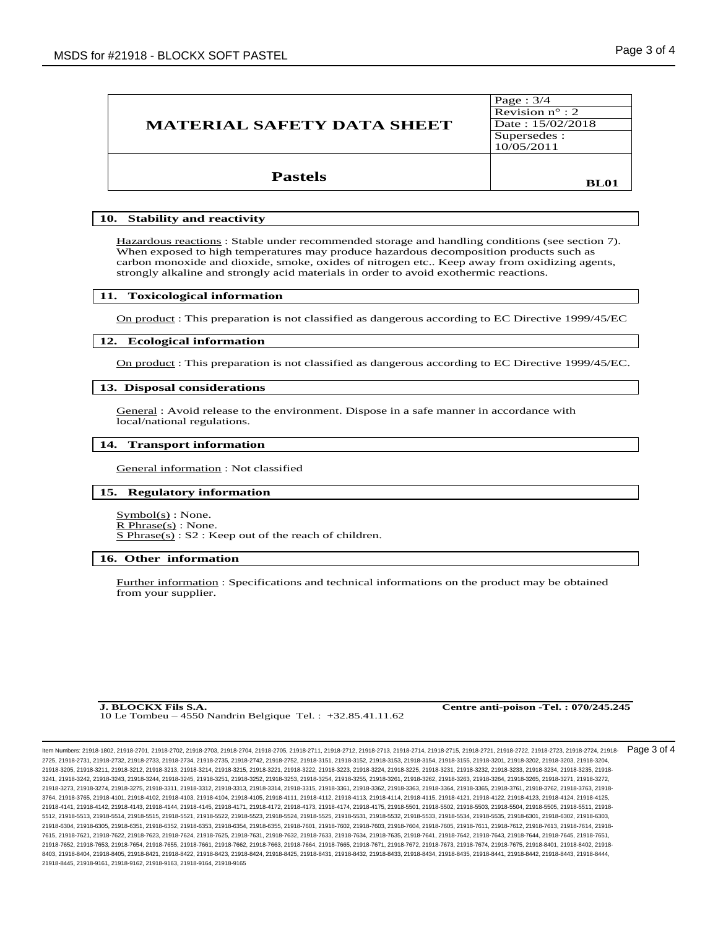| <b>MATERIAL SAFETY DATA SHEET</b> | Page: $3/4$<br>Revision $n^{\circ}$ : 2<br>Date: 15/02/2018<br>Supersedes:<br>10/05/2011 |
|-----------------------------------|------------------------------------------------------------------------------------------|
| <b>Pastels</b>                    | <b>BL01</b>                                                                              |

## **10. Stability and reactivity**

Hazardous reactions : Stable under recommended storage and handling conditions (see section 7). When exposed to high temperatures may produce hazardous decomposition products such as carbon monoxide and dioxide, smoke, oxides of nitrogen etc.. Keep away from oxidizing agents, strongly alkaline and strongly acid materials in order to avoid exothermic reactions.

## **11. Toxicological information**

On product : This preparation is not classified as dangerous according to EC Directive 1999/45/EC

#### **12. Ecological information**

On product : This preparation is not classified as dangerous according to EC Directive 1999/45/EC.

# **13. Disposal considerations** ֺ֖֚֝֬

General : Avoid release to the environment. Dispose in a safe manner in accordance with local/national regulations.

# **14. Transport information** ֺ֖֚֝֬

General information : Not classified

#### **15. Regulatory information**

 $Symbol(s)$ : None. R Phrase(s) : None. S Phrase(s) : S2 : Keep out of the reach of children.

# **16. Other information** ֺ֖֚֝֬

Further information : Specifications and technical informations on the product may be obtained from your supplier.

10 Le Tombeu – 4550 Nandrin Belgique Tel. : +32.85.41.11.62

**J. BLOCKX Fils S.A. Centre anti-poison -Tel. : 070/245.245**

Item Numbers: 21918-1802, 21918-2701, 21918-2702, 21918-2703, 21918-2704, 21918-2705, 21918-2711, 21918-2712, 21918-2713, 21918-2714, 21918-2715, 21918-2721, 21918-2722, 21918-2723, 21918-2724, 21918- 2725, 21918-2731, 21918-2732, 21918-2733, 21918-2734, 21918-2735, 21918-2742, 21918-2752, 21918-3151, 21918-3152, 21918-3153, 21918-3154, 21918-3155, 21918-3201, 21918-3202, 21918-3203, 21918-3204, 21918-3205, 21918-3211, 21918-3212, 21918-3213, 21918-3214, 21918-3215, 21918-3221, 21918-3222, 21918-3223, 21918-3224, 21918-3225, 21918-3231, 21918-3232, 21918-3233, 21918-3234, 21918-3235, 21918- 3241, 21918-3242, 21918-3243, 21918-3244, 21918-3245, 21918-3251, 21918-3252, 21918-3253, 21918-3254, 21918-3255, 21918-3261, 21918-3262, 21918-3263, 21918-3264, 21918-3265, 21918-3271, 21918-3272, 21918-3273, 21918-3274, 21918-3275, 21918-3311, 21918-3312, 21918-3313, 21918-3314, 21918-3315, 21918-3361, 21918-3362, 21918-3363, 21918-3364, 21918-3365, 21918-3761, 21918-3762, 21918-3763, 21918- 3764, 21918-3765, 21918-4101, 21918-4102, 21918-4103, 21918-4104, 21918-4105, 21918-4111, 21918-4112, 21918-4113, 21918-4114, 21918-4115, 21918-4121, 21918-4122, 21918-4123, 21918-4124, 21918-4125, 21918-4141, 21918-4142, 21918-4143, 21918-4144, 21918-4145, 21918-4171, 21918-4172, 21918-4173, 21918-4174, 21918-4175, 21918-5501, 21918-5502, 21918-5503, 21918-5504, 21918-5505, 21918-5511, 21918- 5512, 21918-5513, 21918-5514, 21918-5515, 21918-5521, 21918-5522, 21918-5523, 21918-5524, 21918-5525, 21918-5531, 21918-5532, 21918-5533, 21918-5534, 21918-5535, 21918-6301, 21918-6302, 21918-6303, 21918-6304, 21918-6305, 21918-6351, 21918-6352, 21918-6353, 21918-6354, 21918-6355, 21918-7601, 21918-7602, 21918-7603, 21918-7604, 21918-7605, 21918-7611, 21918-7612, 21918-7613, 21918-7614, 21918- 7615, 21918-7621, 21918-7622, 21918-7623, 21918-7624, 21918-7625, 21918-7631, 21918-7632, 21918-7633, 21918-7634, 21918-7635, 21918-7641, 21918-7642, 21918-7643, 21918-7644, 21918-7645, 21918-7651, 21918-7652, 21918-7653, 21918-7654, 21918-7655, 21918-7661, 21918-7662, 21918-7663, 21918-7664, 21918-7665, 21918-7671, 21918-7672, 21918-7673, 21918-7674, 21918-7675, 21918-8401, 21918-8402, 21918- 8403, 21918-8404, 21918-8405, 21918-8421, 21918-8423, 21918-8424, 21918-8425, 21918-8431, 21918-8432, 21918-8434, 21918-8435, 21918-8441, 21918-8442, 21918-8443, 21918-8442, 21918-8442, 21918-8442, 21918-8442, 21918-8443, 2 21918-8445, 21918-9161, 21918-9162, 21918-9163, 21918-9164, 21918-9165 Page 3 of 4